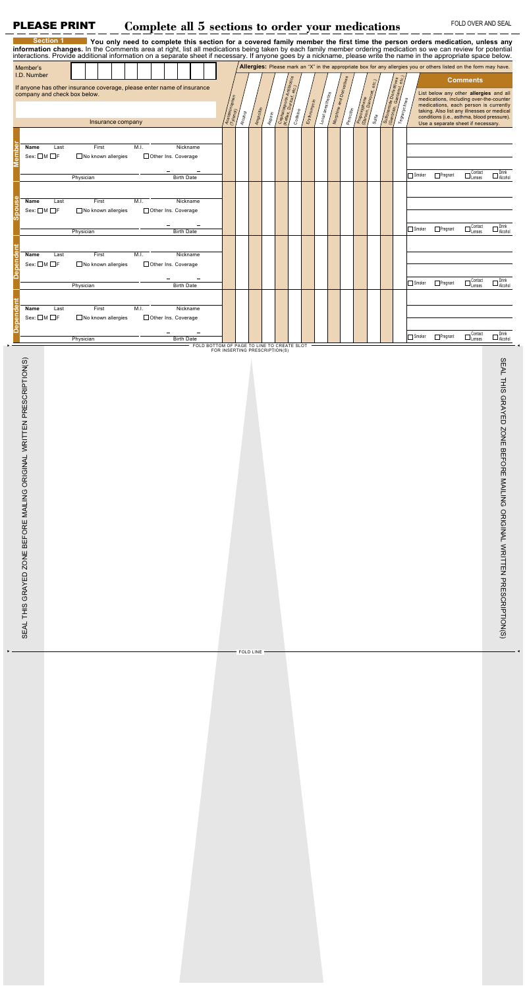## PLEASE PRINT Complete all 5 sections to order your medications FOLD OVER AND SEAL

| information changes. In the Comments area at right, list all medications being taken by each family member ordering medication so we can review for potential<br>interactions. Provide additional information on a separate sheet if necessary. If anyone goes by a nickname, please write the name in the appropriate space below. | <b>Section 1</b> |           | You only need to complete this section for a covered family member the first time the person orders medication, unless any |  |      |  |                     |                   |                                            |                               |               |           |              |                   |                          |  |              |  |                         |               |  |                                                                                                                                                                          |                                                                                  |        |                                                                                                                   |                                                   |                                                                       |
|-------------------------------------------------------------------------------------------------------------------------------------------------------------------------------------------------------------------------------------------------------------------------------------------------------------------------------------|------------------|-----------|----------------------------------------------------------------------------------------------------------------------------|--|------|--|---------------------|-------------------|--------------------------------------------|-------------------------------|---------------|-----------|--------------|-------------------|--------------------------|--|--------------|--|-------------------------|---------------|--|--------------------------------------------------------------------------------------------------------------------------------------------------------------------------|----------------------------------------------------------------------------------|--------|-------------------------------------------------------------------------------------------------------------------|---------------------------------------------------|-----------------------------------------------------------------------|
| Member's                                                                                                                                                                                                                                                                                                                            |                  |           |                                                                                                                            |  |      |  |                     |                   |                                            |                               |               |           |              |                   |                          |  |              |  |                         |               |  |                                                                                                                                                                          |                                                                                  |        | Allergies: Please mark an "X" in the appropriate box for any allergies you or others listed on the form may have. |                                                   |                                                                       |
| I.D. Number                                                                                                                                                                                                                                                                                                                         |                  |           |                                                                                                                            |  |      |  |                     |                   |                                            |                               |               |           |              |                   |                          |  |              |  |                         |               |  |                                                                                                                                                                          |                                                                                  |        |                                                                                                                   | <b>Comments</b>                                   |                                                                       |
| If anyone has other insurance coverage, please enter name of insurance<br>company and check box below.                                                                                                                                                                                                                              |                  |           |                                                                                                                            |  |      |  | Acetaminophen       |                   |                                            |                               | Cephalosporin | 91e       | Erythromycin | Local anesthetics | Morphine and Derivatives |  | Proposyphene |  | Sulforamide Derivatives | Tegracyclines |  | List below any other allergies and all<br>medications, including over-the-counter<br>medications, each person is currently<br>taking. Also list any illnesses or medical |                                                                                  |        |                                                                                                                   |                                                   |                                                                       |
| Insurance company                                                                                                                                                                                                                                                                                                                   |                  |           |                                                                                                                            |  |      |  |                     |                   | Alcohol                                    | Ampicillin                    | Aspirin       |           | Codeine      |                   |                          |  | Penicillin   |  | Sulfa                   |               |  |                                                                                                                                                                          | conditions (i.e., asthma, blood pressure).<br>Use a separate sheet if necessary. |        |                                                                                                                   |                                                   |                                                                       |
|                                                                                                                                                                                                                                                                                                                                     |                  |           |                                                                                                                            |  |      |  |                     |                   |                                            |                               |               |           |              |                   |                          |  |              |  |                         |               |  |                                                                                                                                                                          |                                                                                  |        |                                                                                                                   |                                                   |                                                                       |
| Name<br>Ema<br>Sex: □M □F                                                                                                                                                                                                                                                                                                           | Last             |           | First<br>□ No known allergies                                                                                              |  | M.I. |  | Other Ins. Coverage | Nickname          |                                            |                               |               |           |              |                   |                          |  |              |  |                         |               |  |                                                                                                                                                                          |                                                                                  |        |                                                                                                                   |                                                   |                                                                       |
|                                                                                                                                                                                                                                                                                                                                     |                  |           |                                                                                                                            |  |      |  |                     |                   |                                            |                               |               |           |              |                   |                          |  |              |  |                         |               |  |                                                                                                                                                                          |                                                                                  |        |                                                                                                                   |                                                   |                                                                       |
|                                                                                                                                                                                                                                                                                                                                     |                  | Physician |                                                                                                                            |  |      |  |                     | <b>Birth Date</b> |                                            |                               |               |           |              |                   |                          |  |              |  |                         |               |  |                                                                                                                                                                          |                                                                                  | Smoker | Pregnant                                                                                                          | $\Box$<br>$_\text{Lenses}^\text{Context}$         | $\square$ Drink<br>Alcohol                                            |
|                                                                                                                                                                                                                                                                                                                                     |                  |           |                                                                                                                            |  |      |  |                     |                   |                                            |                               |               |           |              |                   |                          |  |              |  |                         |               |  |                                                                                                                                                                          |                                                                                  |        |                                                                                                                   |                                                   |                                                                       |
| Name<br>pou<br>$Sex: \Box M \Box F$                                                                                                                                                                                                                                                                                                 | Last             |           | First<br>No known allergies                                                                                                |  | M.I. |  | Other Ins. Coverage | Nickname          |                                            |                               |               |           |              |                   |                          |  |              |  |                         |               |  |                                                                                                                                                                          |                                                                                  |        |                                                                                                                   |                                                   |                                                                       |
| ဖြ                                                                                                                                                                                                                                                                                                                                  |                  |           |                                                                                                                            |  |      |  |                     |                   |                                            |                               |               |           |              |                   |                          |  |              |  |                         |               |  |                                                                                                                                                                          |                                                                                  |        |                                                                                                                   |                                                   |                                                                       |
|                                                                                                                                                                                                                                                                                                                                     |                  | Physician |                                                                                                                            |  |      |  |                     | <b>Birth Date</b> |                                            |                               |               |           |              |                   |                          |  |              |  |                         |               |  |                                                                                                                                                                          |                                                                                  | Smoker | Pregnant                                                                                                          | $\Box$<br>$^\text{Constant}_{\text{Lenses}}$      | $\square$ Drink<br>Alcohol                                            |
| ã                                                                                                                                                                                                                                                                                                                                   |                  |           |                                                                                                                            |  |      |  |                     |                   |                                            |                               |               |           |              |                   |                          |  |              |  |                         |               |  |                                                                                                                                                                          |                                                                                  |        |                                                                                                                   |                                                   |                                                                       |
| Name<br>epend<br>Sex: □M □F                                                                                                                                                                                                                                                                                                         | Last             |           | First<br>$\Box$ No known allergies                                                                                         |  | M.I. |  | Other Ins. Coverage | Nickname          |                                            |                               |               |           |              |                   |                          |  |              |  |                         |               |  |                                                                                                                                                                          |                                                                                  |        |                                                                                                                   |                                                   |                                                                       |
|                                                                                                                                                                                                                                                                                                                                     |                  |           |                                                                                                                            |  |      |  |                     |                   |                                            |                               |               |           |              |                   |                          |  |              |  |                         |               |  |                                                                                                                                                                          |                                                                                  |        |                                                                                                                   |                                                   |                                                                       |
|                                                                                                                                                                                                                                                                                                                                     |                  | Physician |                                                                                                                            |  |      |  |                     | <b>Birth Date</b> |                                            |                               |               |           |              |                   |                          |  |              |  |                         |               |  |                                                                                                                                                                          |                                                                                  | Smoker | Pregnant                                                                                                          | $\Box$<br>$^\text{Constant}_{\text{Lenses}}$      | $\square$ Drink<br>Alcohol                                            |
| ã<br>Name                                                                                                                                                                                                                                                                                                                           | Last             |           | First                                                                                                                      |  | M.I. |  |                     | Nickname          |                                            |                               |               |           |              |                   |                          |  |              |  |                         |               |  |                                                                                                                                                                          |                                                                                  |        |                                                                                                                   |                                                   |                                                                       |
| Depend<br>$Sex: \Box M \Box F$                                                                                                                                                                                                                                                                                                      |                  |           | $\Box$ No known allergies                                                                                                  |  |      |  | Other Ins. Coverage |                   |                                            |                               |               |           |              |                   |                          |  |              |  |                         |               |  |                                                                                                                                                                          |                                                                                  |        |                                                                                                                   |                                                   |                                                                       |
|                                                                                                                                                                                                                                                                                                                                     |                  |           |                                                                                                                            |  |      |  |                     |                   |                                            |                               |               |           |              |                   |                          |  |              |  |                         |               |  |                                                                                                                                                                          |                                                                                  | Smoker | Pregnant                                                                                                          | Contact<br>$\Box_{\text{Lenses}}^{\text{source}}$ | $\square$ Drink<br>Alcohol                                            |
|                                                                                                                                                                                                                                                                                                                                     |                  | Physician |                                                                                                                            |  |      |  |                     | <b>Birth Date</b> | FOLD BOTTOM OF PAGE TO LINE TO CREATE SLOT | FOR INSERTING PRESCRIPTION(S) |               |           |              |                   |                          |  |              |  |                         |               |  |                                                                                                                                                                          |                                                                                  |        |                                                                                                                   |                                                   |                                                                       |
| PRESCRIPTION(S)<br>SEAL THIS GRAYED ZONE BEFORE MAILING ORIGINAL WRITTEN                                                                                                                                                                                                                                                            |                  |           |                                                                                                                            |  |      |  |                     |                   |                                            |                               |               |           |              |                   |                          |  |              |  |                         |               |  |                                                                                                                                                                          |                                                                                  |        |                                                                                                                   |                                                   | SEAL THIS GRAYED ZONE BEFORE MAILING ORIGINAL WRITTEN PRESCRIPTION(S) |
|                                                                                                                                                                                                                                                                                                                                     |                  |           |                                                                                                                            |  |      |  |                     |                   |                                            |                               |               | FOLD LINE |              |                   |                          |  |              |  |                         |               |  |                                                                                                                                                                          |                                                                                  |        |                                                                                                                   |                                                   |                                                                       |
|                                                                                                                                                                                                                                                                                                                                     |                  |           |                                                                                                                            |  |      |  |                     |                   |                                            |                               |               |           |              |                   |                          |  |              |  |                         |               |  |                                                                                                                                                                          |                                                                                  |        |                                                                                                                   |                                                   |                                                                       |